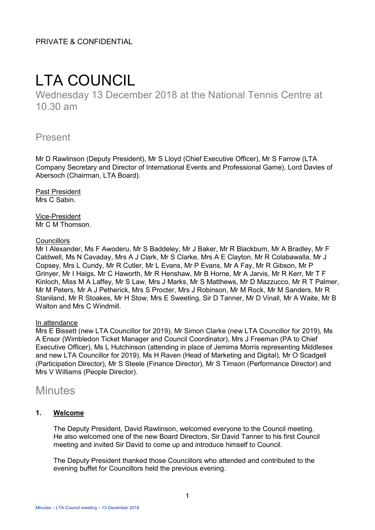PRIVATE & CONFIDENTIAL

# LTA COUNCIL

Wednesday 13 December 2018 at the National Tennis Centre at 10.30 am

# Present

Mr D Rawlinson (Deputy President), Mr S Lloyd (Chief Executive Officer), Mr S Farrow (LTA Company Secretary and Director of International Events and Professional Game), Lord Davies of Abersoch (Chairman, LTA Board).

Past President Mrs C Sabin.

Vice-President Mr C M Thomson.

# **Councillors**

Mr I Alexander, Ms F Awoderu, Mr S Baddeley, Mr J Baker, Mr R Blackburn, Mr A Bradley, Mr F Caldwell, Ms N Cavaday, Mrs A J Clark, Mr S Clarke, Mrs A E Clayton, Mr R Colabawalla, Mr J Copsey, Mrs L Cundy, Mr R Cutler, Mr L Evans, Mr P Evans, Mr A Fay, Mr R Gibson, Mr P Grinyer, Mr I Haigs, Mr C Haworth, Mr R Henshaw, Mr B Horne, Mr A Jarvis, Mr R Kerr, Mr T F Kinloch, Miss M A Laffey, Mr S Law, Mrs J Marks, Mr S Matthews, Mr D Mazzucco, Mr R T Palmer, Mr M Peters, Mr A J Petherick, Mrs S Procter, Mrs J Robinson, Mr M Rock, Mr M Sanders, Mr R Staniland, Mr R Stoakes, Mr H Stow, Mrs E Sweeting, Sir D Tanner, Mr D Vinall, Mr A Waite, Mr B Walton and Mrs C Windmill

# In attendance

Mrs E Bissett (new LTA Councillor for 2019), Mr Simon Clarke (new LTA Councillor for 2019), Ms A Ensor (Wimbledon Ticket Manager and Council Coordinator), Mrs J Freeman (PA to Chief Executive Officer), Ms L Hutchinson (attending in place of Jemima Morris representing Middlesex and new LTA Councillor for 2019), Ms H Raven (Head of Marketing and Digital), Mr O Scadgell (Participation Director), Mr S Steele (Finance Director), Mr S Timson (Performance Director) and Mrs V Williams (People Director).

# **Minutes**

# **1. Welcome**

The Deputy President, David Rawlinson, welcomed everyone to the Council meeting. He also welcomed one of the new Board Directors, Sir David Tanner to his first Council meeting and invited Sir David to come up and introduce himself to Council.

The Deputy President thanked those Councillors who attended and contributed to the evening buffet for Councillors held the previous evening.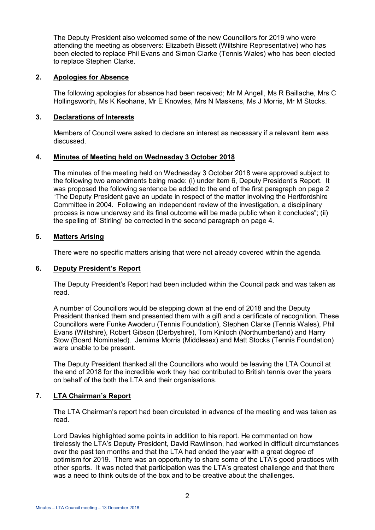The Deputy President also welcomed some of the new Councillors for 2019 who were attending the meeting as observers: Elizabeth Bissett (Wiltshire Representative) who has been elected to replace Phil Evans and Simon Clarke (Tennis Wales) who has been elected to replace Stephen Clarke.

### **2. Apologies for Absence**

The following apologies for absence had been received; Mr M Angell, Ms R Baillache, Mrs C Hollingsworth, Ms K Keohane, Mr E Knowles, Mrs N Maskens, Ms J Morris, Mr M Stocks.

### **3. Declarations of Interests**

Members of Council were asked to declare an interest as necessary if a relevant item was discussed.

#### **4. Minutes of Meeting held on Wednesday 3 October 2018**

The minutes of the meeting held on Wednesday 3 October 2018 were approved subject to the following two amendments being made: (i) under item 6, Deputy President's Report. It was proposed the following sentence be added to the end of the first paragraph on page 2 "The Deputy President gave an update in respect of the matter involving the Hertfordshire Committee in 2004. Following an independent review of the investigation, a disciplinary process is now underway and its final outcome will be made public when it concludes"; (ii) the spelling of 'Stirling' be corrected in the second paragraph on page 4.

#### **5. Matters Arising**

There were no specific matters arising that were not already covered within the agenda.

#### **6. Deputy President's Report**

The Deputy President's Report had been included within the Council pack and was taken as read.

A number of Councillors would be stepping down at the end of 2018 and the Deputy President thanked them and presented them with a gift and a certificate of recognition. These Councillors were Funke Awoderu (Tennis Foundation), Stephen Clarke (Tennis Wales), Phil Evans (Wiltshire), Robert Gibson (Derbyshire), Tom Kinloch (Northumberland) and Harry Stow (Board Nominated). Jemima Morris (Middlesex) and Matt Stocks (Tennis Foundation) were unable to be present.

The Deputy President thanked all the Councillors who would be leaving the LTA Council at the end of 2018 for the incredible work they had contributed to British tennis over the years on behalf of the both the LTA and their organisations.

# **7. LTA Chairman's Report**

The LTA Chairman's report had been circulated in advance of the meeting and was taken as read.

Lord Davies highlighted some points in addition to his report. He commented on how tirelessly the LTA's Deputy President, David Rawlinson, had worked in difficult circumstances over the past ten months and that the LTA had ended the year with a great degree of optimism for 2019. There was an opportunity to share some of the LTA's good practices with other sports. It was noted that participation was the LTA's greatest challenge and that there was a need to think outside of the box and to be creative about the challenges.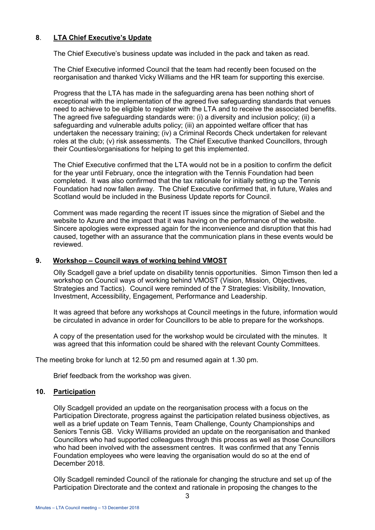# **8**. **LTA Chief Executive's Update**

The Chief Executive's business update was included in the pack and taken as read.

The Chief Executive informed Council that the team had recently been focused on the reorganisation and thanked Vicky Williams and the HR team for supporting this exercise.

Progress that the LTA has made in the safeguarding arena has been nothing short of exceptional with the implementation of the agreed five safeguarding standards that venues need to achieve to be eligible to register with the LTA and to receive the associated benefits. The agreed five safeguarding standards were: (i) a diversity and inclusion policy; (ii) a safeguarding and vulnerable adults policy; (iii) an appointed welfare officer that has undertaken the necessary training; (iv) a Criminal Records Check undertaken for relevant roles at the club; (v) risk assessments. The Chief Executive thanked Councillors, through their Counties/organisations for helping to get this implemented.

The Chief Executive confirmed that the LTA would not be in a position to confirm the deficit for the year until February, once the integration with the Tennis Foundation had been completed. It was also confirmed that the tax rationale for initially setting up the Tennis Foundation had now fallen away. The Chief Executive confirmed that, in future, Wales and Scotland would be included in the Business Update reports for Council.

Comment was made regarding the recent IT issues since the migration of Siebel and the website to Azure and the impact that it was having on the performance of the website. Sincere apologies were expressed again for the inconvenience and disruption that this had caused, together with an assurance that the communication plans in these events would be reviewed.

### **9. Workshop – Council ways of working behind VMOST**

Olly Scadgell gave a brief update on disability tennis opportunities. Simon Timson then led a workshop on Council ways of working behind VMOST (Vision, Mission, Objectives, Strategies and Tactics). Council were reminded of the 7 Strategies: Visibility, Innovation, Investment, Accessibility, Engagement, Performance and Leadership.

It was agreed that before any workshops at Council meetings in the future, information would be circulated in advance in order for Councillors to be able to prepare for the workshops.

A copy of the presentation used for the workshop would be circulated with the minutes. It was agreed that this information could be shared with the relevant County Committees.

The meeting broke for lunch at 12.50 pm and resumed again at 1.30 pm.

Brief feedback from the workshop was given.

# **10. Participation**

Olly Scadgell provided an update on the reorganisation process with a focus on the Participation Directorate, progress against the participation related business objectives, as well as a brief update on Team Tennis, Team Challenge, County Championships and Seniors Tennis GB. Vicky Williams provided an update on the reorganisation and thanked Councillors who had supported colleagues through this process as well as those Councillors who had been involved with the assessment centres. It was confirmed that any Tennis Foundation employees who were leaving the organisation would do so at the end of December 2018.

Olly Scadgell reminded Council of the rationale for changing the structure and set up of the Participation Directorate and the context and rationale in proposing the changes to the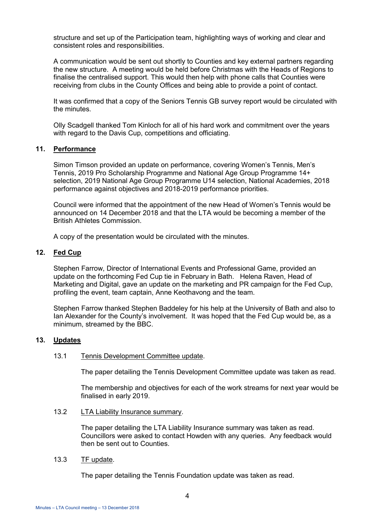structure and set up of the Participation team, highlighting ways of working and clear and consistent roles and responsibilities.

A communication would be sent out shortly to Counties and key external partners regarding the new structure. A meeting would be held before Christmas with the Heads of Regions to finalise the centralised support. This would then help with phone calls that Counties were receiving from clubs in the County Offices and being able to provide a point of contact.

It was confirmed that a copy of the Seniors Tennis GB survey report would be circulated with the minutes.

Olly Scadgell thanked Tom Kinloch for all of his hard work and commitment over the years with regard to the Davis Cup, competitions and officiating.

# **11. Performance**

Simon Timson provided an update on performance, covering Women's Tennis, Men's Tennis, 2019 Pro Scholarship Programme and National Age Group Programme 14+ selection, 2019 National Age Group Programme U14 selection, National Academies, 2018 performance against objectives and 2018-2019 performance priorities.

Council were informed that the appointment of the new Head of Women's Tennis would be announced on 14 December 2018 and that the LTA would be becoming a member of the British Athletes Commission.

A copy of the presentation would be circulated with the minutes.

# **12. Fed Cup**

Stephen Farrow, Director of International Events and Professional Game, provided an update on the forthcoming Fed Cup tie in February in Bath. Helena Raven, Head of Marketing and Digital, gave an update on the marketing and PR campaign for the Fed Cup, profiling the event, team captain, Anne Keothavong and the team.

Stephen Farrow thanked Stephen Baddeley for his help at the University of Bath and also to Ian Alexander for the County's involvement. It was hoped that the Fed Cup would be, as a minimum, streamed by the BBC.

#### **13. Updates**

#### 13.1 Tennis Development Committee update.

The paper detailing the Tennis Development Committee update was taken as read.

The membership and objectives for each of the work streams for next year would be finalised in early 2019.

13.2 LTA Liability Insurance summary.

The paper detailing the LTA Liability Insurance summary was taken as read. Councillors were asked to contact Howden with any queries. Any feedback would then be sent out to Counties.

13.3 TF update.

The paper detailing the Tennis Foundation update was taken as read.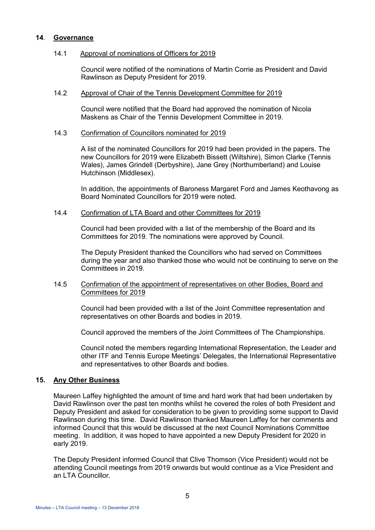### **14**. **Governance**

#### 14.1 Approval of nominations of Officers for 2019

Council were notified of the nominations of Martin Corrie as President and David Rawlinson as Deputy President for 2019.

# 14.2 Approval of Chair of the Tennis Development Committee for 2019

Council were notified that the Board had approved the nomination of Nicola Maskens as Chair of the Tennis Development Committee in 2019.

#### 14.3 Confirmation of Councillors nominated for 2019

A list of the nominated Councillors for 2019 had been provided in the papers. The new Councillors for 2019 were Elizabeth Bissett (Wiltshire), Simon Clarke (Tennis Wales), James Grindell (Derbyshire), Jane Grey (Northumberland) and Louise Hutchinson (Middlesex).

In addition, the appointments of Baroness Margaret Ford and James Keothavong as Board Nominated Councillors for 2019 were noted.

#### 14.4 Confirmation of LTA Board and other Committees for 2019

Council had been provided with a list of the membership of the Board and its Committees for 2019. The nominations were approved by Council.

The Deputy President thanked the Councillors who had served on Committees during the year and also thanked those who would not be continuing to serve on the Committees in 2019.

#### 14.5 Confirmation of the appointment of representatives on other Bodies, Board and Committees for 2019

Council had been provided with a list of the Joint Committee representation and representatives on other Boards and bodies in 2019.

Council approved the members of the Joint Committees of The Championships.

Council noted the members regarding International Representation, the Leader and other ITF and Tennis Europe Meetings' Delegates, the International Representative and representatives to other Boards and bodies.

# **15. Any Other Business**

Maureen Laffey highlighted the amount of time and hard work that had been undertaken by David Rawlinson over the past ten months whilst he covered the roles of both President and Deputy President and asked for consideration to be given to providing some support to David Rawlinson during this time. David Rawlinson thanked Maureen Laffey for her comments and informed Council that this would be discussed at the next Council Nominations Committee meeting. In addition, it was hoped to have appointed a new Deputy President for 2020 in early 2019.

The Deputy President informed Council that Clive Thomson (Vice President) would not be attending Council meetings from 2019 onwards but would continue as a Vice President and an LTA Councillor.